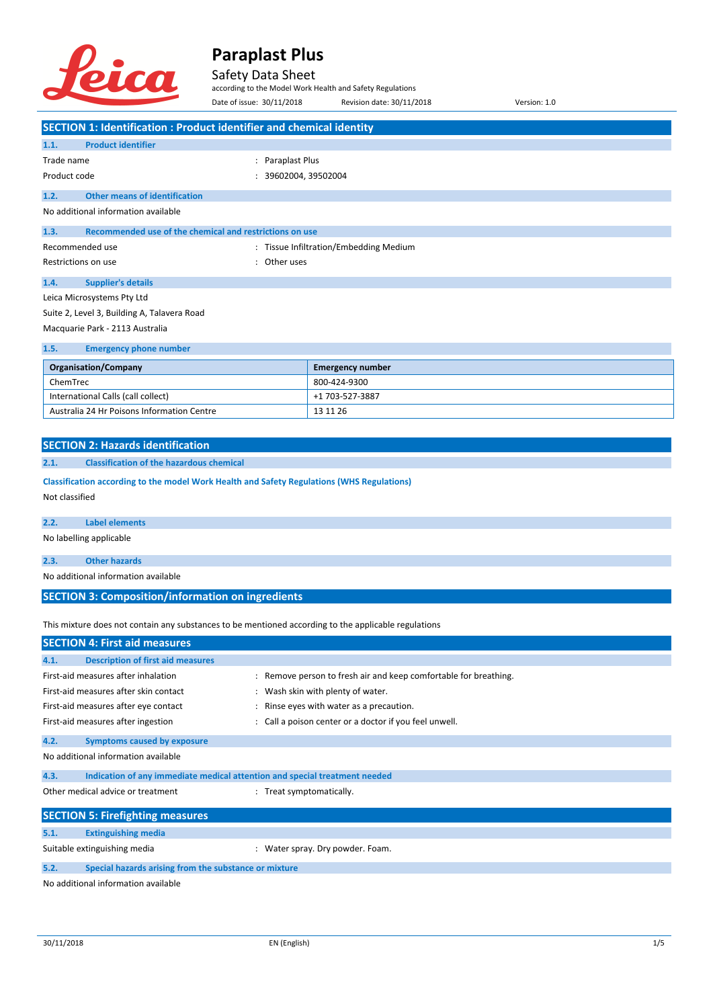

### Safety Data Sheet

according to the Model Work Health and Safety Regulations

Date of issue: 30/11/2018 Revision date: 30/11/2018 Version: 1.0 **SECTION 1: Identification : Product identifier and chemical identity**

| 1.1.                            | <b>Product identifier</b>                               |                     |                                        |  |
|---------------------------------|---------------------------------------------------------|---------------------|----------------------------------------|--|
| Trade name                      |                                                         | Paraplast Plus<br>÷ |                                        |  |
| Product code                    |                                                         | 39602004, 39502004  |                                        |  |
| 1.2.                            | <b>Other means of identification</b>                    |                     |                                        |  |
|                                 | No additional information available                     |                     |                                        |  |
| 1.3.                            | Recommended use of the chemical and restrictions on use |                     |                                        |  |
| Recommended use                 |                                                         |                     | : Tissue Infiltration/Embedding Medium |  |
| Restrictions on use<br>÷        |                                                         | Other uses          |                                        |  |
| 1.4.                            | <b>Supplier's details</b>                               |                     |                                        |  |
|                                 | Leica Microsystems Pty Ltd                              |                     |                                        |  |
|                                 | Suite 2, Level 3, Building A, Talavera Road             |                     |                                        |  |
| Macquarie Park - 2113 Australia |                                                         |                     |                                        |  |
| 1.5.                            | <b>Emergency phone number</b>                           |                     |                                        |  |
| <b>Organisation/Company</b>     |                                                         |                     | <b>Emergency number</b>                |  |
| ChemTrec                        |                                                         |                     | 800-424-9300                           |  |
|                                 |                                                         |                     |                                        |  |

| <b>UILIIIILU</b>                           | <u>UUU TAT JJUU</u> |
|--------------------------------------------|---------------------|
| International Calls (call collect)         | +1 703-527-3887     |
| Australia 24 Hr Poisons Information Centre | 13 11 26            |
|                                            |                     |

#### **2.1. Classification of the hazardous chemical**

**Classification according to the model Work Health and Safety Regulations (WHS Regulations)** Not classified

#### **2.2. Label elements**

No labelling applicable

**2.3. Other hazards**

No additional information available

#### **SECTION 3: Composition/information on ingredients**

This mixture does not contain any substances to be mentioned according to the applicable regulations

| <b>SECTION 4: First aid measures</b>    |                                                                            |                                                                  |  |  |
|-----------------------------------------|----------------------------------------------------------------------------|------------------------------------------------------------------|--|--|
| 4.1.                                    | <b>Description of first aid measures</b>                                   |                                                                  |  |  |
| First-aid measures after inhalation     |                                                                            | : Remove person to fresh air and keep comfortable for breathing. |  |  |
| First-aid measures after skin contact   |                                                                            | : Wash skin with plenty of water.                                |  |  |
| First-aid measures after eye contact    |                                                                            | : Rinse eyes with water as a precaution.                         |  |  |
|                                         | First-aid measures after ingestion                                         | : Call a poison center or a doctor if you feel unwell.           |  |  |
| 4.2.                                    | <b>Symptoms caused by exposure</b>                                         |                                                                  |  |  |
|                                         | No additional information available                                        |                                                                  |  |  |
| 4.3.                                    | Indication of any immediate medical attention and special treatment needed |                                                                  |  |  |
|                                         | Other medical advice or treatment                                          | : Treat symptomatically.                                         |  |  |
| <b>SECTION 5: Firefighting measures</b> |                                                                            |                                                                  |  |  |
| 5.1.                                    | <b>Extinguishing media</b>                                                 |                                                                  |  |  |
| Suitable extinguishing media            |                                                                            | Water spray. Dry powder. Foam.                                   |  |  |
| 5.2.                                    | Special hazards arising from the substance or mixture                      |                                                                  |  |  |

No additional information available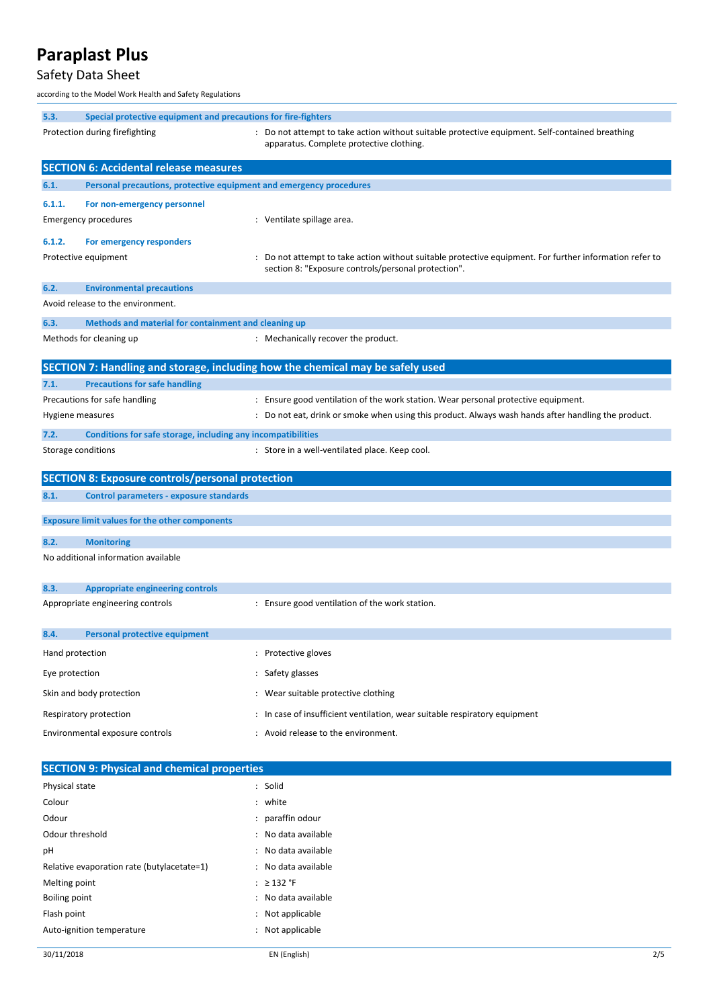## Safety Data Sheet

according to the Model Work Health and Safety Regulations

| 5.3.<br>Special protective equipment and precautions for fire-fighters |                                                                     |                                                                                                                                                                |  |  |
|------------------------------------------------------------------------|---------------------------------------------------------------------|----------------------------------------------------------------------------------------------------------------------------------------------------------------|--|--|
|                                                                        | Protection during firefighting                                      | : Do not attempt to take action without suitable protective equipment. Self-contained breathing<br>apparatus. Complete protective clothing.                    |  |  |
|                                                                        | <b>SECTION 6: Accidental release measures</b>                       |                                                                                                                                                                |  |  |
| 6.1.                                                                   | Personal precautions, protective equipment and emergency procedures |                                                                                                                                                                |  |  |
| 6.1.1.                                                                 | For non-emergency personnel                                         |                                                                                                                                                                |  |  |
|                                                                        | <b>Emergency procedures</b>                                         | : Ventilate spillage area.                                                                                                                                     |  |  |
|                                                                        |                                                                     |                                                                                                                                                                |  |  |
| 6.1.2.                                                                 | For emergency responders                                            |                                                                                                                                                                |  |  |
|                                                                        | Protective equipment                                                | : Do not attempt to take action without suitable protective equipment. For further information refer to<br>section 8: "Exposure controls/personal protection". |  |  |
| 6.2.                                                                   | <b>Environmental precautions</b>                                    |                                                                                                                                                                |  |  |
|                                                                        | Avoid release to the environment.                                   |                                                                                                                                                                |  |  |
|                                                                        |                                                                     |                                                                                                                                                                |  |  |
| 6.3.                                                                   | Methods and material for containment and cleaning up                |                                                                                                                                                                |  |  |
|                                                                        | Methods for cleaning up                                             | : Mechanically recover the product.                                                                                                                            |  |  |
|                                                                        |                                                                     | SECTION 7: Handling and storage, including how the chemical may be safely used                                                                                 |  |  |
| 7.1.                                                                   | <b>Precautions for safe handling</b>                                |                                                                                                                                                                |  |  |
|                                                                        | Precautions for safe handling                                       | : Ensure good ventilation of the work station. Wear personal protective equipment.                                                                             |  |  |
|                                                                        | Hygiene measures                                                    | : Do not eat, drink or smoke when using this product. Always wash hands after handling the product.                                                            |  |  |
| 7.2.                                                                   | Conditions for safe storage, including any incompatibilities        |                                                                                                                                                                |  |  |
|                                                                        | Storage conditions                                                  | : Store in a well-ventilated place. Keep cool.                                                                                                                 |  |  |
|                                                                        |                                                                     |                                                                                                                                                                |  |  |
|                                                                        | <b>SECTION 8: Exposure controls/personal protection</b>             |                                                                                                                                                                |  |  |
| 8.1.                                                                   | <b>Control parameters - exposure standards</b>                      |                                                                                                                                                                |  |  |
|                                                                        |                                                                     |                                                                                                                                                                |  |  |
|                                                                        | <b>Exposure limit values for the other components</b>               |                                                                                                                                                                |  |  |
| 8.2.                                                                   | <b>Monitoring</b>                                                   |                                                                                                                                                                |  |  |
|                                                                        | No additional information available                                 |                                                                                                                                                                |  |  |
| 8.3.                                                                   | <b>Appropriate engineering controls</b>                             |                                                                                                                                                                |  |  |
|                                                                        | Appropriate engineering controls                                    | : Ensure good ventilation of the work station.                                                                                                                 |  |  |
|                                                                        |                                                                     |                                                                                                                                                                |  |  |
| 8.4.                                                                   | <b>Personal protective equipment</b>                                |                                                                                                                                                                |  |  |
| Hand protection                                                        |                                                                     | : Protective gloves                                                                                                                                            |  |  |
| Eye protection                                                         |                                                                     | : Safety glasses                                                                                                                                               |  |  |
|                                                                        | Skin and body protection                                            | : Wear suitable protective clothing                                                                                                                            |  |  |
|                                                                        | Respiratory protection                                              | : In case of insufficient ventilation, wear suitable respiratory equipment                                                                                     |  |  |
|                                                                        |                                                                     | : Avoid release to the environment.                                                                                                                            |  |  |
|                                                                        | Environmental exposure controls                                     |                                                                                                                                                                |  |  |
| <b>SECTION 9: Physical and chemical properties</b>                     |                                                                     |                                                                                                                                                                |  |  |
| Physical state                                                         |                                                                     | : Solid                                                                                                                                                        |  |  |
| Colour                                                                 |                                                                     | : white                                                                                                                                                        |  |  |
| Odour                                                                  |                                                                     | paraffin odour                                                                                                                                                 |  |  |
| Odour threshold                                                        |                                                                     | No data available                                                                                                                                              |  |  |
| рH                                                                     |                                                                     | No data available                                                                                                                                              |  |  |
|                                                                        | Relative evaporation rate (butylacetate=1)                          | : No data available                                                                                                                                            |  |  |
| Melting point                                                          |                                                                     | : $\geq$ 132 °F                                                                                                                                                |  |  |

- Boiling point **in the case of the case of the case of the case of the case of the case of the case of the case of the case of the case of the case of the case of the case of the case of the case of the case of the case of** Flash point **in the case of the case of the case of the case of the case of the case of the case of the case of the case of the case of the case of the case of the case of the case of the case of the case of the case of th**
- Auto-ignition temperature in the state of the state of the Not applicable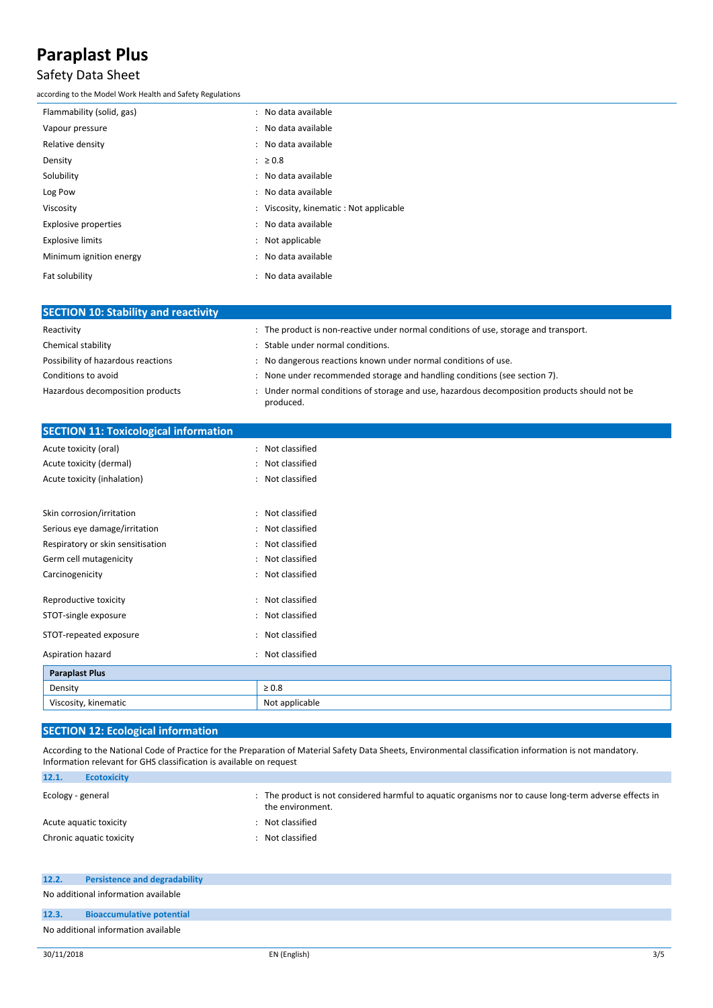## Safety Data Sheet

according to the Model Work Health and Safety Regulations

| Flammability (solid, gas)   | : No data available                       |
|-----------------------------|-------------------------------------------|
| Vapour pressure             | : No data available                       |
| Relative density            | : No data available                       |
| Density                     | $\therefore$ 20.8                         |
| Solubility                  | : No data available                       |
| Log Pow                     | : No data available                       |
| Viscosity                   | : Viscosity, kinematic : Not applicable   |
| <b>Explosive properties</b> | : No data available                       |
| <b>Explosive limits</b>     | : Not applicable                          |
| Minimum ignition energy     | : No data available                       |
| Fat solubility              | No data available<br>$\ddot{\phantom{a}}$ |

| <b>SECTION 10: Stability and reactivity</b> |                                                                                                           |  |  |
|---------------------------------------------|-----------------------------------------------------------------------------------------------------------|--|--|
| Reactivity                                  | : The product is non-reactive under normal conditions of use, storage and transport.                      |  |  |
| Chemical stability                          | Stable under normal conditions.                                                                           |  |  |
| Possibility of hazardous reactions          | : No dangerous reactions known under normal conditions of use.                                            |  |  |
| Conditions to avoid                         | : None under recommended storage and handling conditions (see section 7).                                 |  |  |
| Hazardous decomposition products            | : Under normal conditions of storage and use, hazardous decomposition products should not be<br>produced. |  |  |

| <b>SECTION 11: Toxicological information</b> |                  |
|----------------------------------------------|------------------|
| Acute toxicity (oral)                        | : Not classified |
| Acute toxicity (dermal)                      | : Not classified |
| Acute toxicity (inhalation)                  | : Not classified |
|                                              |                  |
| Skin corrosion/irritation                    | : Not classified |
| Serious eye damage/irritation                | : Not classified |
| Respiratory or skin sensitisation            | : Not classified |
| Germ cell mutagenicity                       | : Not classified |
| Carcinogenicity                              | : Not classified |
| Reproductive toxicity                        | : Not classified |
| STOT-single exposure                         | : Not classified |
| STOT-repeated exposure                       | : Not classified |
| Aspiration hazard                            | : Not classified |
| <b>Paraplast Plus</b>                        |                  |
| Density                                      | $\geq 0.8$       |
| Viscosity, kinematic                         | Not applicable   |

### **SECTION 12: Ecological information**

According to the National Code of Practice for the Preparation of Material Safety Data Sheets, Environmental classification information is not mandatory. Information relevant for GHS classification is available on request

| 12.1.                  | <b>Ecotoxicity</b>       |                                                                                                                          |
|------------------------|--------------------------|--------------------------------------------------------------------------------------------------------------------------|
| Ecology - general      |                          | The product is not considered harmful to aquatic organisms nor to cause long-term adverse effects in<br>the environment. |
| Acute aguatic toxicity |                          | Not classified                                                                                                           |
|                        | Chronic aquatic toxicity | Not classified                                                                                                           |

| No additional information available |                                  |  |
|-------------------------------------|----------------------------------|--|
| 12.3.                               | <b>Bioaccumulative potential</b> |  |
| No additional information available |                                  |  |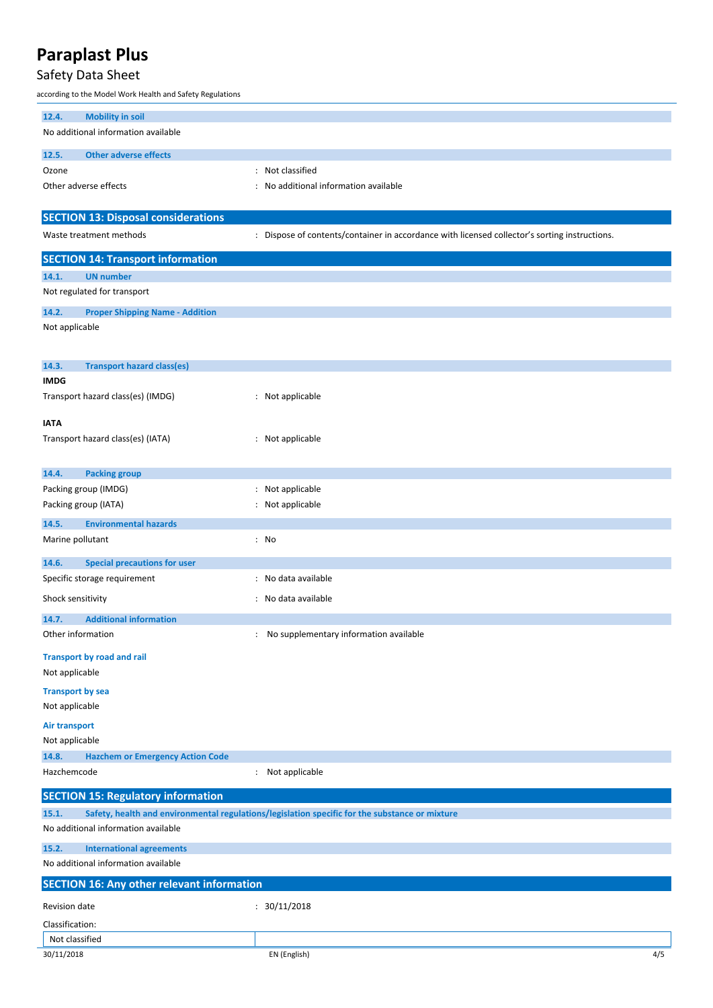## Safety Data Sheet

according to the Model Work Health and Safety Regulations

| <b>Mobility in soil</b><br>12.4.                    |                                                                                                |  |  |
|-----------------------------------------------------|------------------------------------------------------------------------------------------------|--|--|
| No additional information available                 |                                                                                                |  |  |
| <b>Other adverse effects</b><br>12.5.               |                                                                                                |  |  |
| Ozone                                               | : Not classified                                                                               |  |  |
| Other adverse effects                               | : No additional information available                                                          |  |  |
|                                                     |                                                                                                |  |  |
| <b>SECTION 13: Disposal considerations</b>          |                                                                                                |  |  |
| Waste treatment methods                             | : Dispose of contents/container in accordance with licensed collector's sorting instructions.  |  |  |
| <b>SECTION 14: Transport information</b>            |                                                                                                |  |  |
| <b>UN number</b><br>14.1.                           |                                                                                                |  |  |
| Not regulated for transport                         |                                                                                                |  |  |
| 14.2.<br><b>Proper Shipping Name - Addition</b>     |                                                                                                |  |  |
| Not applicable                                      |                                                                                                |  |  |
|                                                     |                                                                                                |  |  |
| 14.3.<br><b>Transport hazard class(es)</b>          |                                                                                                |  |  |
| <b>IMDG</b>                                         |                                                                                                |  |  |
| Transport hazard class(es) (IMDG)                   | : Not applicable                                                                               |  |  |
|                                                     |                                                                                                |  |  |
| <b>IATA</b>                                         |                                                                                                |  |  |
| Transport hazard class(es) (IATA)                   | : Not applicable                                                                               |  |  |
|                                                     |                                                                                                |  |  |
| 14.4.<br><b>Packing group</b>                       |                                                                                                |  |  |
| Packing group (IMDG)                                | : Not applicable                                                                               |  |  |
| Packing group (IATA)                                | : Not applicable                                                                               |  |  |
| <b>Environmental hazards</b><br>14.5.               |                                                                                                |  |  |
| Marine pollutant                                    | : No                                                                                           |  |  |
| <b>Special precautions for user</b><br>14.6.        |                                                                                                |  |  |
| Specific storage requirement                        | : No data available                                                                            |  |  |
| Shock sensitivity                                   | : No data available                                                                            |  |  |
| <b>Additional information</b><br>14.7.              |                                                                                                |  |  |
| Other information                                   | No supplementary information available<br>$\ddot{\phantom{0}}$                                 |  |  |
|                                                     |                                                                                                |  |  |
| <b>Transport by road and rail</b><br>Not applicable |                                                                                                |  |  |
|                                                     |                                                                                                |  |  |
| <b>Transport by sea</b><br>Not applicable           |                                                                                                |  |  |
|                                                     |                                                                                                |  |  |
| <b>Air transport</b><br>Not applicable              |                                                                                                |  |  |
| 14.8.<br><b>Hazchem or Emergency Action Code</b>    |                                                                                                |  |  |
| Hazchemcode                                         | : Not applicable                                                                               |  |  |
|                                                     |                                                                                                |  |  |
| <b>SECTION 15: Regulatory information</b>           |                                                                                                |  |  |
| 15.1.                                               | Safety, health and environmental regulations/legislation specific for the substance or mixture |  |  |
| No additional information available                 |                                                                                                |  |  |
| 15.2.<br><b>International agreements</b>            |                                                                                                |  |  |
| No additional information available                 |                                                                                                |  |  |
| <b>SECTION 16: Any other relevant information</b>   |                                                                                                |  |  |
| Revision date                                       | : 30/11/2018                                                                                   |  |  |
| Classification:                                     |                                                                                                |  |  |
| Not classified                                      |                                                                                                |  |  |
| 30/11/2018                                          | EN (English)<br>4/5                                                                            |  |  |